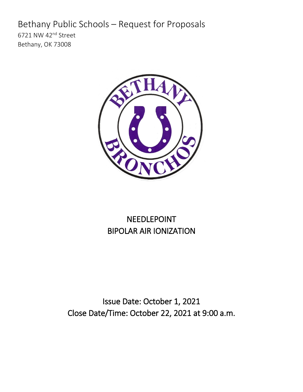# Bethany Public Schools – Request for Proposals

6721 NW 42nd Street Bethany, OK 73008



# NEEDLEPOINT BIPOLAR AIR IONIZATION

Issue Date: October 1, 2021 Close Date/Time: October 22, 2021 at 9:00 a.m.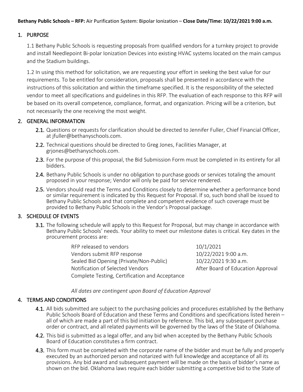#### 1. PURPOSE

1.1 Bethany Public Schools is requesting proposals from qualified vendors for a turnkey project to provide and install Needlepoint Bi-polar Ionization Devices into existing HVAC systems located on the main campus and the Stadium buildings.

1.2 In using this method for solicitation, we are requesting your effort in seeking the best value for our requirements. To be entitled for consideration, proposals shall be presented in accordance with the instructions of this solicitation and within the timeframe specified. It is the responsibility of the selected vendor to meet all specifications and guidelines in this RFP. The evaluation of each response to this RFP will be based on its overall competence, compliance, format, and organization. Pricing will be a criterion, but not necessarily the one receiving the most weight.

#### 2. GENERAL INFORMATION

- 2.1. Questions or requests for clarification should be directed to Jennifer Fuller, Chief Financial Officer, at jfuller@bethanyschools.com.
- 2.2. Technical questions should be directed to Greg Jones, Facilities Manager, at grjones@bethanyschools.com.
- 2.3. For the purpose of this proposal, the Bid Submission Form must be completed in its entirety for all bidders.
- 2.4. Bethany Public Schools is under no obligation to purchase goods or services totaling the amount proposed in your response; Vendor will only be paid for service rendered.
- 2.5. Vendors should read the Terms and Conditions closely to determine whether a performance bond or similar requirement is indicated by this Request for Proposal. If so, such bond shall be issued to Bethany Public Schools and that complete and competent evidence of such coverage must be provided to Bethany Public Schools in the Vendor's Proposal package.

#### 3. SCHEDULE OF EVENTS

3.1. The following schedule will apply to this Request for Proposal, but may change in accordance with Bethany Public Schools' needs. Your ability to meet our milestone dates is critical. Key dates in the procurement process are:

> RFP released to vendors and the state of 10/1/2021 Vendors submit RFP response 10/22/2021 9:00 a.m. Sealed Bid Opening (Private/Non-Public) 10/22/2021 9:30 a.m. Notification of Selected Vendors **After Board of Education Approval** Complete Testing, Certification and Acceptance

*All dates are contingent upon Board of Education Approval* 

#### 4. TERMS AND CONDITIONS

- 4.1. All bids submitted are subject to the purchasing policies and procedures established by the Bethany<br>- Public Schools Board of Education and these Terms and Conditions and specifications listed herein all of which are made a part of this bid initiation by reference. This bid, any subsequent purchase order or contract, and all related payments will be governed by the laws of the State of Oklahoma.
- 4.2. This bid is submitted as a legal offer, and any bid when accepted by the Bethany Public Schools Board of Education constitutes a firm contract.
- 4.3. This form must be completed with the corporate name of the bidder and must be fully and properly executed by an authorized person and notarized with full knowledge and acceptance of all its provisions. Any bid award and subsequent payment will be made on the basis of bidder's name as shown on the bid. Oklahoma laws require each bidder submitting a competitive bid to the State of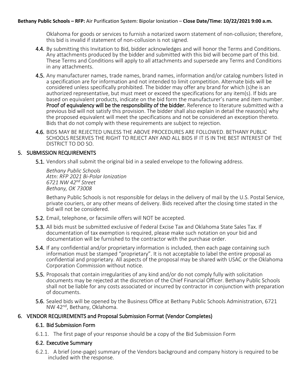Oklahoma for goods or services to furnish a notarized sworn statement of non-collusion; therefore, this bid is invalid if statement of non-collusion is not signed.

- 4.4. By submitting this Invitation to Bid, bidder acknowledges and will honor the Terms and Conditions. Any attachments produced by the bidder and submitted with this bid will become part of this bid. These Terms and Conditions will apply to all attachments and supersede any Terms and Conditions in any attachments.
- 4.5. Any manufacturer names, trade names, brand names, information and/or catalog numbers listed in a specification are for information and not intended to limit competition. Alternate bids will be considered unless specifically prohibited. The bidder may offer any brand for which (s)he is an authorized representative, but must meet or exceed the specifications for any item(s). If bids are based on equivalent products, indicate on the bid form the manufacturer's name and item number. Proof of equivalency will be the responsibility of the bidder. Reference to literature submitted with a previous bid will not satisfy this provision. The bidder shall also explain in detail the reason(s) why the proposed equivalent will meet the specifications and not be considered an exception thereto. Bids that do not comply with these requirements are subject to rejection.
- 4.6. BIDS MAY BE REJECTED UNLESS THE ABOVE PROCEDURES ARE FOLLOWED. BETHANY PUBLIC SCHOOLS RESERVES THE RIGHT TO REJECT ANY AND ALL BIDS IF IT IS IN THE BEST INTEREST OF THE DISTRICT TO DO SO.

#### 5. SUBMISSION REQUIREMENTS

5.1. Vendors shall submit the original bid in a sealed envelope to the following address.

*Bethany Public Schools Attn: RFP 2021 Bi-Polar Ionization 6721 NW 42nd Street Bethany, OK 73008*

Bethany Public Schools is not responsible for delays in the delivery of mail by the U.S. Postal Service, private couriers, or any other means of delivery. Bids received after the closing time stated in the bid will not be considered.

- 5.2. Email, telephone, or facsimile offers will NOT be accepted.
- 5.3. All bids must be submitted exclusive of Federal Excise Tax and Oklahoma State Sales Tax. If documentation of tax exemption is required, please make such notation on your bid and documentation will be furnished to the contractor with the purchase order.
- 5.4. If any confidential and/or proprietary information is included, then each page containing such information must be stamped "proprietary". It is not acceptable to label the entire proposal as confidential and proprietary. All aspects of the proposal may be shared with USAC or the Oklahoma Corporation Commission without notice.
- 5.5. Proposals that contain irregularities of any kind and/or do not comply fully with solicitation documents may be rejected at the discretion of the Chief Financial Officer. Bethany Public Schools shall not be liable for any costs associated or incurred by contractor in conjunction with preparation of documents.
- 5.6. Sealed bids will be opened by the Business Office at Bethany Public Schools Administration, 6721 NW 42nd, Bethany, Oklahoma.

#### 6. VENDOR REQUIREMENTS and Proposal Submission Format (Vendor Completes)

#### 6.1. Bid Submission Form

6.1.1. The first page of your response should be a copy of the Bid Submission Form

#### 6.2. Executive Summary

6.2.1. A brief (one-page) summary of the Vendors background and company history is required to be included with the response.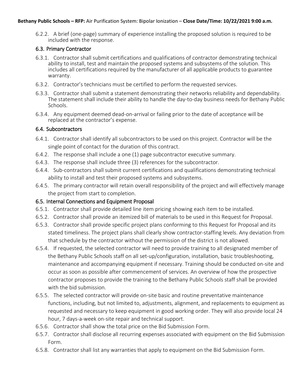6.2.2. A brief (one-page) summary of experience installing the proposed solution is required to be included with the response.

#### 6.3. Primary Contractor

- 6.3.1. Contractor shall submit certifications and qualifications of contractor demonstrating technical ability to install, test and maintain the proposed systems and subsystems of the solution. This includes all certifications required by the manufacturer of all applicable products to guarantee warranty.
- 6.3.2. Contractor's technicians must be certified to perform the requested services.
- 6.3.3. Contractor shall submit a statement demonstrating their networks reliability and dependability. The statement shall include their ability to handle the day-to-day business needs for Bethany Public Schools.
- 6.3.4. Any equipment deemed dead-on-arrival or failing prior to the date of acceptance will be replaced at the contractor's expense.

#### 6.4. Subcontractors

- 6.4.1. Contractor shall identify all subcontractors to be used on this project. Contractor will be the single point of contact for the duration of this contract.
- 6.4.2. The response shall include a one (1) page subcontractor executive summary.
- 6.4.3. The response shall include three (3) references for the subcontractor.
- 6.4.4. Sub-contractors shall submit current certifications and qualifications demonstrating technical ability to install and test their proposed systems and subsystems.
- 6.4.5. The primary contractor will retain overall responsibility of the project and will effectively manage the project from start to completion.

#### 6.5. Internal Connections and Equipment Proposal

- 6.5.1. Contractor shall provide detailed line item pricing showing each item to be installed.
- 6.5.2. Contractor shall provide an itemized bill of materials to be used in this Request for Proposal.
- 6.5.3. Contractor shall provide specific project plans conforming to this Request for Proposal and its stated timeliness. The project plans shall clearly show contractor-staffing levels. Any deviation from that schedule by the contractor without the permission of the district is not allowed.
- 6.5.4. If requested, the selected contractor will need to provide training to all designated member of the Bethany Public Schools staff on all set-up/configuration, installation, basic troubleshooting, maintenance and accompanying equipment if necessary. Training should be conducted on-site and occur as soon as possible after commencement of services. An overview of how the prospective contractor proposes to provide the training to the Bethany Public Schools staff shall be provided with the bid submission.
- 6.5.5. The selected contractor will provide on-site basic and routine preventative maintenance functions, including, but not limited to, adjustments, alignment, and replacements to equipment as requested and necessary to keep equipment in good working order. They will also provide local 24 hour, 7 days-a-week on-site repair and technical support.
- 6.5.6. Contractor shall show the total price on the Bid Submission Form.
- 6.5.7. Contractor shall disclose all recurring expenses associated with equipment on the Bid Submission Form.
- 6.5.8. Contractor shall list any warranties that apply to equipment on the Bid Submission Form.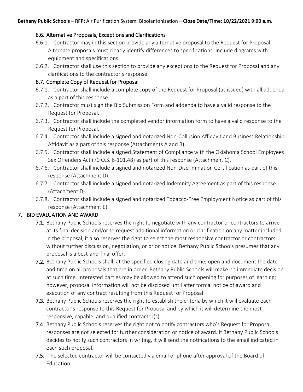#### 6.6. Alternative Proposals, Exceptions and Clarifications

- 6.6.1. Contractor may in this section provide any alternative proposal to the Request for Proposal. Alternate proposals must clearly identify differences to specifications. Include diagrams with equipment and specifications.
- 6.6.2. Contractor shall use this section to provide any exceptions to the Request for Proposal and any clarifications to the contractor's response.

#### 6.7. Complete Copy of Request for Proposal

- 6.7.1. Contractor shall include a complete copy of the Request for Proposal (as issued) with all addenda as a part of this response.
- 6.7.2. Contractor must sign the Bid Submission Form and addenda to have a valid response to the Request for Proposal.
- 6.7.3. Contractor shall include the completed vendor information form to have a valid response to the Request for Proposal.
- 6.7.4. Contractor shall include a signed and notarized Non-Collusion Affidavit and Business Relationship Affidavit as a part of this response (Attachments A and B).
- 6.7.5. Contractor shall include a signed Statement of Compliance with the Oklahoma School Employees Sex Offenders Act (70 O.S. 6-101.48) as part of this response (Attachment C).
- 6.7.6. Contractor shall include a signed and notarized Non-Discrimination Certification as part of this response (Attachment D).
- 6.7.7. Contractor shall include a signed and notarized Indemnity Agreement as part of this response (Attachment D).
- 6.7.8. Contractor shall include a signed and notarized Tobacco-Free Employment Notice as part of this response (Attachment E).

#### 7. BID EVALUATION AND AWARD

- 7.1. Bethany Public Schools reserves the right to negotiate with any contractor or contractors to arrive at its final decision and/or to request additional information or clarification on any matter included in the proposal, it also reserves the right to select the most responsive contractor or contractors without further discussion, negotiation, or prior notice. Bethany Public Schools presumes that any proposal is a best-and-final offer.
- 7.2. Bethany Public Schools shall, at the specified closing date and time, open and document the date and time on all proposals that are in order. Bethany Public Schools will make no immediate decision at such time. Interested parties may be allowed to attend such opening for purposes of learning; however, proposal information will not be disclosed until after formal notice of award and execution of any contract resulting from this Request for Proposal.
- 7.3. Bethany Public Schools reserves the right to establish the criteria by which it will evaluate each contractor's response to this Request for Proposal and by which it will determine the most responsive, capable, and qualified contractor(s).
- 7.4. Bethany Public Schools reserves the right not to notify contractors who's Request for Proposal responses are not selected for further consideration or notice of award. If Bethany Public Schools decides to notify such contractors in writing, it will send the notifications to the email indicated in each such proposal.
- 7.5. The selected contractor will be contacted via email or phone after approval of the Board of Education.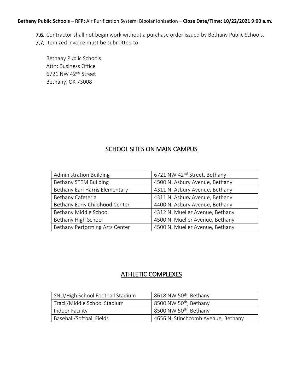- 7.6. Contractor shall not begin work without a purchase order issued by Bethany Public Schools.
- 7.7. Itemized invoice must be submitted to:

Bethany Public Schools Attn: Business Office 6721 NW 42nd Street Bethany, OK 73008

## SCHOOL SITES ON MAIN CAMPUS

| <b>Administration Building</b> | 6721 NW 42 <sup>nd</sup> Street, Bethany |
|--------------------------------|------------------------------------------|
| Bethany STEM Building          | 4500 N. Asbury Avenue, Bethany           |
| Bethany Earl Harris Elementary | 4311 N. Asbury Avenue, Bethany           |
| Bethany Cafeteria              | 4311 N. Asbury Avenue, Bethany           |
| Bethany Early Childhood Center | 4400 N. Asbury Avenue, Bethany           |
| Bethany Middle School          | 4312 N. Mueller Avenue, Bethany          |
| Bethany High School            | 4500 N. Mueller Avenue, Bethany          |
| Bethany Performing Arts Center | 4500 N. Mueller Avenue, Bethany          |

## ATHLETIC COMPLEXES

| SNU/High School Football Stadium | 8618 NW 50 <sup>th</sup> , Bethany |
|----------------------------------|------------------------------------|
| Track/Middle School Stadium      | 8500 NW 50 <sup>th</sup> , Bethany |
| Indoor Facility                  | 8500 NW 50 <sup>th</sup> , Bethany |
| Baseball/Softball Fields         | 4656 N. Stinchcomb Avenue, Bethany |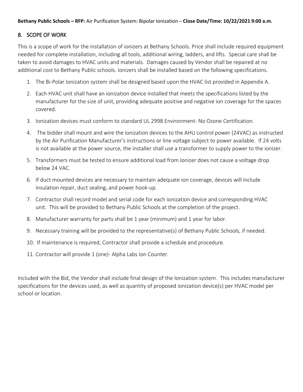#### 8. SCOPE OF WORK

This is a scope of work for the installation of ionizers at Bethany Schools. Price shall include required equipment needed for complete installation, including all tools, additional wiring, ladders, and lifts. Special care shall be taken to avoid damages to HVAC units and materials. Damages caused by Vendor shall be repaired at no additional cost to Bethany Public schools. Ionizers shall be installed based on the following specifications.

- 1. The Bi-Polar Ionization system shall be designed based upon the HVAC list provided in Appendix A.
- 2. Each HVAC unit shall have an ionization device installed that meets the specifications listed by the manufacturer for the size of unit, providing adequate positive and negative ion coverage for the spaces covered.
- 3. Ionization devices must conform to standard UL 2998 Environment- No Ozone Certification.
- 4. The bidder shall mount and wire the ionization devices to the AHU control power (24VAC) as instructed by the Air Purification Manufacturer's instructions or line voltage subject to power available. If 24 volts is not available at the power source, the installer shall use a transformer to supply power to the ionizer.
- 5. Transformers must be tested to ensure additional load from Ionizer does not cause a voltage drop below 24 VAC.
- 6. If duct mounted devices are necessary to maintain adequate ion coverage, devices will include insulation repair, duct sealing, and power hook-up.
- 7. Contractor shall record model and serial code for each ionization device and corresponding HVAC unit. This will be provided to Bethany Public Schools at the completion of the project.
- 8. Manufacturer warranty for parts shall be 1 year (minimum) and 1 year for labor.
- 9. Necessary training will be provided to the representative(s) of Bethany Public Schools, if needed.
- 10. If maintenance is required, Contractor shall provide a schedule and procedure.
- 11. Contractor will provide 1 (one)- Alpha Labs Ion Counter.

Included with the Bid, the Vendor shall include final design of the Ionization system. This includes manufacturer specifications for the devices used, as well as quantity of proposed ionization device(s) per HVAC model per school or location.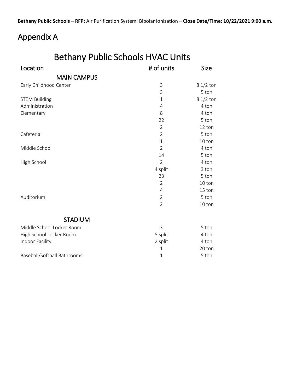# Appendix A

| <b>Bethany Public Schools HVAC Units</b> |                |             |  |
|------------------------------------------|----------------|-------------|--|
| Location                                 | # of units     | <b>Size</b> |  |
| <b>MAIN CAMPUS</b>                       |                |             |  |
| Early Childhood Center                   | 3              | $81/2$ ton  |  |
|                                          | 3              | 5 ton       |  |
| <b>STEM Building</b>                     | $\mathbf{1}$   | $81/2$ ton  |  |
| Administration                           | 4              | 4 ton       |  |
| Elementary                               | 8              | 4 ton       |  |
|                                          | 22             | 5 ton       |  |
|                                          | $\overline{2}$ | 12 ton      |  |
| Cafeteria                                | $\overline{2}$ | 5 ton       |  |
|                                          | $\mathbf{1}$   | 10 ton      |  |
| Middle School                            | $\mathcal{P}$  | 4 ton       |  |
|                                          | 14             | 5 ton       |  |
| High School                              | $\overline{2}$ | 4 ton       |  |
|                                          | 4 split        | 3 ton       |  |
|                                          | 23             | 5 ton       |  |
|                                          | $\overline{2}$ | 10 ton      |  |
|                                          | 4              | 15 ton      |  |
| Auditorium                               | 2              | 5 ton       |  |
|                                          | $\overline{2}$ | 10 ton      |  |
| <b>STADIUM</b>                           |                |             |  |
| Middle School Locker Room                | 3              | 5 ton       |  |
| High School Locker Room                  | 5 split        | 4 ton       |  |
| Indoor Facility                          | 2 split        | 4 ton       |  |
|                                          | 1              | 20 ton      |  |
| Baseball/Softball Bathrooms              | $1\,$          | 5 ton       |  |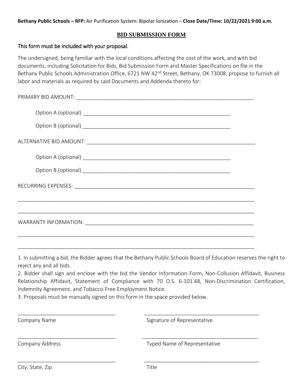#### **BID SUBMISSION FORM**

#### This form must be included with your proposal.

The undersigned, being familiar with the local conditions affecting the cost of the work, and with bid documents, including Solicitation for Bids, Bid Submission Form and Master Specifications on file in the Bethany Public Schools Administration Office, 6721 NW 42<sup>nd</sup> Street, Bethany, OK 73008, propose to furnish all labor and materials as required by said Documents and Addenda thereto for:

1. In submitting a bid, the Bidder agrees that the Bethany Public Schools Board of Education reserves the right to reject any and all bids.

2. Bidder shall sign and enclose with the bid the Vendor Information Form, Non-Collusion Affidavit, Business Relationship Affidavit, Statement of Compliance with 70 O.S. 6-101.48, Non-Discrimination Certification, Indemnity Agreement, and Tobacco-Free Employment Notice.

\_\_\_\_\_\_\_\_\_\_\_\_\_\_\_\_\_\_\_\_\_\_\_\_\_\_\_\_\_\_\_\_\_ \_\_\_\_\_\_\_\_\_\_\_\_\_\_\_\_\_\_\_\_\_\_\_\_\_\_\_\_\_\_\_\_\_\_\_\_\_\_\_

\_\_\_\_\_\_\_\_\_\_\_\_\_\_\_\_\_\_\_\_\_\_\_\_\_\_\_\_\_\_\_\_\_ \_\_\_\_\_\_\_\_\_\_\_\_\_\_\_\_\_\_\_\_\_\_\_\_\_\_\_\_\_\_\_\_\_\_\_\_\_\_\_

\_\_\_\_\_\_\_\_\_\_\_\_\_\_\_\_\_\_\_\_\_\_\_\_\_\_\_\_\_\_\_\_\_ \_\_\_\_\_\_\_\_\_\_\_\_\_\_\_\_\_\_\_\_\_\_\_\_\_\_\_\_\_\_\_\_\_\_\_\_\_\_\_

3. Proposals must be manually signed on this form in the space provided below.

Company Name Signature of Representative

Company Address Typed Name of Representative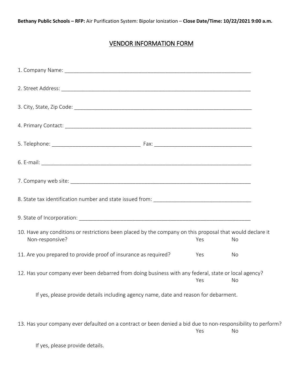# VENDOR INFORMATION FORM

| 10. Have any conditions or restrictions been placed by the company on this proposal that would declare it<br>Non-responsive? | Yes | No        |
|------------------------------------------------------------------------------------------------------------------------------|-----|-----------|
| 11. Are you prepared to provide proof of insurance as required?                                                              | Yes | No        |
| 12. Has your company ever been debarred from doing business with any federal, state or local agency?                         | Yes | <b>No</b> |
| If yes, please provide details including agency name, date and reason for debarment.                                         |     |           |
| 13. Has your company ever defaulted on a contract or been denied a bid due to non-responsibility to perform?                 | Yes | No        |
| If yes, please provide details.                                                                                              |     |           |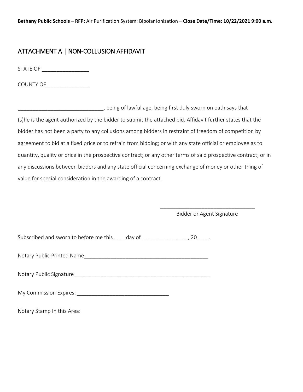### ATTACHMENT A | NON-COLLUSION AFFIDAVIT

STATE OF \_\_\_\_\_\_\_\_\_\_\_\_\_\_\_\_

COUNTY OF

\_\_\_\_\_\_\_\_\_\_\_\_\_\_\_\_\_\_\_\_\_\_\_\_\_\_\_\_\_, being of lawful age, being first duly sworn on oath says that (s)he is the agent authorized by the bidder to submit the attached bid. Affidavit further states that the bidder has not been a party to any collusions among bidders in restraint of freedom of competition by agreement to bid at a fixed price or to refrain from bidding; or with any state official or employee as to quantity, quality or price in the prospective contract; or any other terms of said prospective contract; or in any discussions between bidders and any state official concerning exchange of money or other thing of value for special consideration in the awarding of a contract.

> \_\_\_\_\_\_\_\_\_\_\_\_\_\_\_\_\_\_\_\_\_\_\_\_\_\_\_\_\_\_\_\_ Bidder or Agent Signature

| Subscribed and sworn to before me this | dav of |  |
|----------------------------------------|--------|--|
|                                        |        |  |

Notary Public Printed Name and the state of the state of the state of the state of the state of the state of the state of the state of the state of the state of the state of the state of the state of the state of the state

Notary Public Signature

My Commission Expires: \_\_\_\_\_\_\_\_\_\_\_\_\_\_\_\_\_\_\_\_\_\_\_\_\_\_\_\_\_\_\_

Notary Stamp In this Area: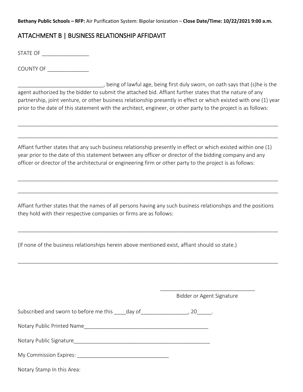## ATTACHMENT B | BUSINESS RELATIONSHIP AFFIDAVIT

STATE OF \_\_\_\_\_\_\_\_\_\_\_\_\_\_\_\_

COUNTY OF \_\_\_\_\_\_\_\_\_\_\_\_\_\_

\_\_\_\_\_\_\_\_\_\_\_\_\_\_\_\_\_\_\_\_\_\_\_\_\_\_\_\_\_, being of lawful age, being first duly sworn, on oath says that (s)he is the agent authorized by the bidder to submit the attached bid. Affiant further states that the nature of any partnership, joint venture, or other business relationship presently in effect or which existed with one (1) year prior to the date of this statement with the architect, engineer, or other party to the project is as follows:

\_\_\_\_\_\_\_\_\_\_\_\_\_\_\_\_\_\_\_\_\_\_\_\_\_\_\_\_\_\_\_\_\_\_\_\_\_\_\_\_\_\_\_\_\_\_\_\_\_\_\_\_\_\_\_\_\_\_\_\_\_\_\_\_\_\_\_\_\_\_\_\_\_\_\_\_\_\_\_\_\_\_\_\_\_\_\_\_

\_\_\_\_\_\_\_\_\_\_\_\_\_\_\_\_\_\_\_\_\_\_\_\_\_\_\_\_\_\_\_\_\_\_\_\_\_\_\_\_\_\_\_\_\_\_\_\_\_\_\_\_\_\_\_\_\_\_\_\_\_\_\_\_\_\_\_\_\_\_\_\_\_\_\_\_\_\_\_\_\_\_\_\_\_\_\_\_

Affiant further states that any such business relationship presently in effect or which existed within one (1) year prior to the date of this statement between any officer or director of the bidding company and any officer or director of the architectural or engineering firm or other party to the project is as follows:

\_\_\_\_\_\_\_\_\_\_\_\_\_\_\_\_\_\_\_\_\_\_\_\_\_\_\_\_\_\_\_\_\_\_\_\_\_\_\_\_\_\_\_\_\_\_\_\_\_\_\_\_\_\_\_\_\_\_\_\_\_\_\_\_\_\_\_\_\_\_\_\_\_\_\_\_\_\_\_\_\_\_\_\_\_\_\_\_

\_\_\_\_\_\_\_\_\_\_\_\_\_\_\_\_\_\_\_\_\_\_\_\_\_\_\_\_\_\_\_\_\_\_\_\_\_\_\_\_\_\_\_\_\_\_\_\_\_\_\_\_\_\_\_\_\_\_\_\_\_\_\_\_\_\_\_\_\_\_\_\_\_\_\_\_\_\_\_\_\_\_\_\_\_\_\_\_

Affiant further states that the names of all persons having any such business relationships and the positions they hold with their respective companies or firms are as follows:

\_\_\_\_\_\_\_\_\_\_\_\_\_\_\_\_\_\_\_\_\_\_\_\_\_\_\_\_\_\_\_\_\_\_\_\_\_\_\_\_\_\_\_\_\_\_\_\_\_\_\_\_\_\_\_\_\_\_\_\_\_\_\_\_\_\_\_\_\_\_\_\_\_\_\_\_\_\_\_\_\_\_\_\_\_\_\_\_

\_\_\_\_\_\_\_\_\_\_\_\_\_\_\_\_\_\_\_\_\_\_\_\_\_\_\_\_\_\_\_\_\_\_\_\_\_\_\_\_\_\_\_\_\_\_\_\_\_\_\_\_\_\_\_\_\_\_\_\_\_\_\_\_\_\_\_\_\_\_\_\_\_\_\_\_\_\_\_\_\_\_\_\_\_\_\_\_

(If none of the business relationships herein above mentioned exist, affiant should so state.)

|                                                                                                          | Bidder or Agent Signature |
|----------------------------------------------------------------------------------------------------------|---------------------------|
| Subscribed and sworn to before me this day of entitled and subscribed and sworn to before me this day of |                           |
| Notary Public Printed Name                                                                               |                           |
| Notary Public Signature                                                                                  |                           |
|                                                                                                          |                           |
| Notary Stamp In this Area:                                                                               |                           |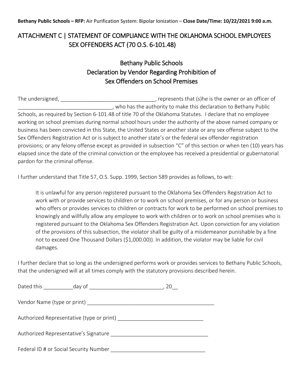## ATTACHMENT C | STATEMENT OF COMPLIANCE WITH THE OKLAHOMA SCHOOL EMPLOYEES SEX OFFENDERS ACT (70 O.S. 6-101.48)

## Bethany Public Schools Declaration by Vendor Regarding Prohibition of Sex Offenders on School Premises

The undersigned, \_\_\_\_\_\_\_\_\_\_\_\_\_\_\_\_\_\_\_\_\_\_\_\_\_\_\_\_\_\_\_\_\_\_, represents that (s)he is the owner or an officer of , who has the authority to make this declaration to Bethany Public Schools, as required by Section 6-101.48 of title 70 of the Oklahoma Statutes. I declare that no employee working on school premises during normal school hours under the authority of the above named company or business has been convicted in this State, the United States or another state or any sex offense subject to the Sex Offenders Registration Act or is subject to another state's or the federal sex offender registration provisions; or any felony offense except as provided in subsection "C" of this section or when ten (10) years has elapsed since the date of the criminal conviction or the employee has received a presidential or gubernatorial pardon for the criminal offense.

I further understand that Title 57, O.S. Supp. 1999, Section 589 provides as follows, to-wit:

It is unlawful for any person registered pursuant to the Oklahoma Sex Offenders Registration Act to work with or provide services to children or to work on school premises, or for any person or business who offers or provides services to children or contracts for work to be performed on school premises to knowingly and willfully allow any employee to work with children or to work on school premises who is registered pursuant to the Oklahoma Sex Offenders Registration Act. Upon conviction for any violation of the provisions of this subsection, the violator shall be guilty of a misdemeanor punishable by a fine not to exceed One Thousand Dollars (\$1,000.00)). In addition, the violator may be liable for civil damages.

I further declare that so long as the undersigned performs work or provides services to Bethany Public Schools, that the undersigned will at all times comply with the statutory provisions described herein.

| Vendor Name (type or print)            |                                           |  |
|----------------------------------------|-------------------------------------------|--|
|                                        |                                           |  |
|                                        | Authorized Representative (type or print) |  |
| Authorized Representative's Signature  |                                           |  |
| Federal ID # or Social Security Number |                                           |  |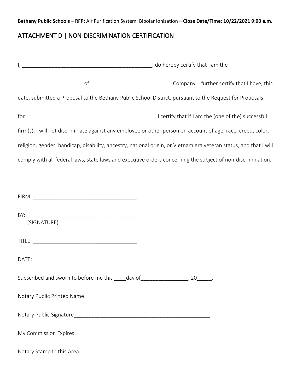## ATTACHMENT D | NON-DISCRIMINATION CERTIFICATION

|                                                                                                         | do hereby certify that I am the matches are not all the matches of the contract of the contract of the contract of the contract of the contract of the contract of the contract of the contract of the contract of the contrac |  |  |
|---------------------------------------------------------------------------------------------------------|--------------------------------------------------------------------------------------------------------------------------------------------------------------------------------------------------------------------------------|--|--|
|                                                                                                         |                                                                                                                                                                                                                                |  |  |
| date, submitted a Proposal to the Bethany Public School District, pursuant to the Request for Proposals |                                                                                                                                                                                                                                |  |  |
|                                                                                                         |                                                                                                                                                                                                                                |  |  |
|                                                                                                         | firm(s), I will not discriminate against any employee or other person on account of age, race, creed, color,                                                                                                                   |  |  |
|                                                                                                         | religion, gender, handicap, disability, ancestry, national origin, or Vietnam era veteran status, and that I will                                                                                                              |  |  |
|                                                                                                         | comply with all federal laws, state laws and executive orders concerning the subject of non-discrimination.                                                                                                                    |  |  |
|                                                                                                         |                                                                                                                                                                                                                                |  |  |
|                                                                                                         |                                                                                                                                                                                                                                |  |  |
| (SIGNATURE)                                                                                             |                                                                                                                                                                                                                                |  |  |
|                                                                                                         |                                                                                                                                                                                                                                |  |  |
|                                                                                                         |                                                                                                                                                                                                                                |  |  |
| Subscribed and sworn to before me this ____day of_                                                      | $\frac{1}{20}$ .                                                                                                                                                                                                               |  |  |
|                                                                                                         |                                                                                                                                                                                                                                |  |  |
|                                                                                                         |                                                                                                                                                                                                                                |  |  |
|                                                                                                         |                                                                                                                                                                                                                                |  |  |
| Notary Stamp In this Area:                                                                              |                                                                                                                                                                                                                                |  |  |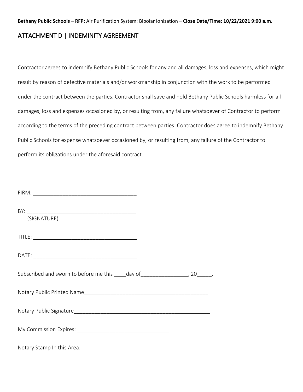### ATTACHMENT D | INDEMINITY AGREEMENT

Contractor agrees to indemnify Bethany Public Schools for any and all damages, loss and expenses, which might result by reason of defective materials and/or workmanship in conjunction with the work to be performed under the contract between the parties. Contractor shall save and hold Bethany Public Schools harmless for all damages, loss and expenses occasioned by, or resulting from, any failure whatsoever of Contractor to perform according to the terms of the preceding contract between parties. Contractor does agree to indemnify Bethany Public Schools for expense whatsoever occasioned by, or resulting from, any failure of the Contractor to perform its obligations under the aforesaid contract.

| BY:<br>(SIGNATURE)                                                                   |  |
|--------------------------------------------------------------------------------------|--|
|                                                                                      |  |
|                                                                                      |  |
| Subscribed and sworn to before me this _____day of ______________________, 20______. |  |
|                                                                                      |  |
|                                                                                      |  |
|                                                                                      |  |
| Notary Stamp In this Area:                                                           |  |